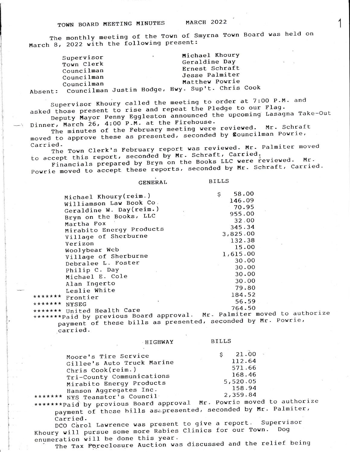The monthly meeting of the Town of Smyrna Town Board was held on March 8, 2022 with the following present:

|         | Supervisor                                      |  | Michael Khoury |  |
|---------|-------------------------------------------------|--|----------------|--|
|         | Town Clerk                                      |  | Geraldine Day  |  |
|         | Councilman                                      |  | Ernest Schraft |  |
|         | Councilman                                      |  | Jesse Palmiter |  |
|         | Councilman                                      |  | Matthew Powrie |  |
| Absent: | Councilman Justin Hodge, Hwy. Sup't. Chris Cook |  |                |  |
|         |                                                 |  |                |  |

Supervisor Khoury called the meeting to order at 7:00 P.M. and asked those present to rise and repeat the Pledge to our Flag.

Deputy Mayor Penny Eggleston announced the upcoming Lasagna Take-Out Dinner, March 26, 4:00 P.M. at the Firehouse.

The minutes of the February meeting were reviewed. Mr. Schraft moved to approve these as presented, seconded by Louncilman Powrie,

Carried. The Town Clerk's February report was reviewed. Mr. Palmiter moved to accept this report, seconded by Mr. Schraft, Carried,

Financials prepared by Bryn on the Books LLC were reviewed. Mr. Powrie moved to accept these reports, seconded by Mr. Schraft, Carried.

|               | <b>GENERAL</b>                                                                                                                                                                                                                                                                                                         | <b>BILLS</b>                                                                                                                                        |  |
|---------------|------------------------------------------------------------------------------------------------------------------------------------------------------------------------------------------------------------------------------------------------------------------------------------------------------------------------|-----------------------------------------------------------------------------------------------------------------------------------------------------|--|
|               | Michael Khoury (reim.)<br>Williamson Law Book Co.<br>Geraldine W. Day(reim.)<br>Bryn on the Books, LLC<br>Martha Fox<br>Mirabito Energy Products<br>Village of Sherburne<br>Verizon<br>Woolybear Web<br>Village of Sherburne<br>Debralee L. Foster<br>Philip C. Day<br>Michael E. Cole<br>Alan Ingerto<br>Leslie White | 58.00<br>\$<br>146.09<br>70.95<br>955.00<br>32.00<br>345.34<br>3,825.00<br>132.38<br>15.00<br>1,615.00<br>30.00<br>30.00<br>30.00<br>30.00<br>79.80 |  |
| *******       | Frontier                                                                                                                                                                                                                                                                                                               | 184.52                                                                                                                                              |  |
| ******* NYSEG |                                                                                                                                                                                                                                                                                                                        | 56.59                                                                                                                                               |  |
|               | ******* United Health Care                                                                                                                                                                                                                                                                                             | 764.50                                                                                                                                              |  |
|               | *******Paid by previous Board approval.                                                                                                                                                                                                                                                                                | Mr. Palmiter moved to authorize                                                                                                                     |  |

payment of these bills as presented, seconded by Mr. Powrie, \*\*Paid by previous carried.

HIGHWAY

**BILLS** 

|      | Moore's Tire Service       | 21.00    |
|------|----------------------------|----------|
|      | Gillee's Auto Truck Marine | 112.64   |
|      |                            | 571.66   |
|      | Chris Cook(reim.)          | 168.46   |
|      | Tri-County Communications  |          |
|      | Mirabito Energy Products   | 5,520.05 |
|      | Hanson Aggregates Inc.     | 158.94   |
| **** | NYS Teanster's Council     | 2,359.84 |
|      |                            |          |

\*\*\*\*\*\*\*Paid by previous Board approval Mr. Powrie moved to authorize payment of these bills asapresented, seconded by Mr. Palmiter, Carried.

DCO Carol Lawrence was present to give a report. Supervisor Khoury will pursue some more Rabies Clinics for our Town. Dog enumeration will be done this year.

The Tax Foreclosure Auction was discussed and the relief being